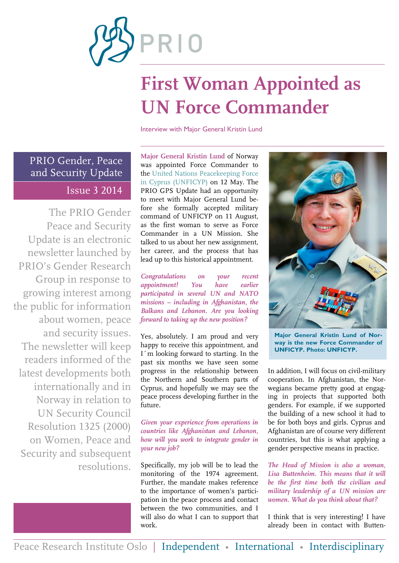

# **First Woman Appointed as UN Force Commander**

Interview with Major General Kristin Lund

PRIO Gender, Peace and Security Update Issue 3 2014

The PRIO Gender Peace and Security Update is an electronic newsletter launched by PRIO's Gender Research Group in response to growing interest among the public for information about women, peace and security issues. The newsletter will keep readers informed of the latest developments both internationally and in Norway in relation to UN Security Council Resolution 1325 (2000) on Women, Peace and Security and subsequent resolutions.

**Major General Kristin Lund** of Norway was appointed Force Commander to the [United Nations Peacekeeping Force](http://www.un.org/en/peacekeeping/missions/unficyp/index.shtml)  [in Cyprus \(UNFICYP\)](http://www.un.org/en/peacekeeping/missions/unficyp/index.shtml) on 12 May. The PRIO GPS Update had an opportunity to meet with Major General Lund before she formally accepted military command of UNFICYP on 11 August, as the first woman to serve as Force Commander in a UN Mission. She talked to us about her new assignment, her career, and the process that has lead up to this historical appointment.

*Congratulations on your recent appointment! You have earlier participated in several UN and NATO missions – including in Afghanistan, the Balkans and Lebanon. Are you looking forward to taking up the new position?*

Yes, absolutely. I am proud and very happy to receive this appointment, and I´m looking forward to starting. In the past six months we have seen some progress in the relationship between the Northern and Southern parts of Cyprus, and hopefully we may see the peace process developing further in the future.

*Given your experience from operations in countries like Afghanistan and Lebanon, how will you work to integrate gender in your new job?*

Specifically, my job will be to lead the monitoring of the 1974 agreement. Further, the mandate makes reference to the importance of women's participation in the peace process and contact between the two communities, and I will also do what I can to support that work.



**Major General Kristin Lund of Norway is the new Force Commander of UNFICYP. Photo: UNFICYP.**

In addition, I will focus on civil-military cooperation. In Afghanistan, the Norwegians became pretty good at engaging in projects that supported both genders. For example, if we supported the building of a new school it had to be for both boys and girls. Cyprus and Afghanistan are of course very different countries, but this is what applying a gender perspective means in practice.

*The Head of Mission is also a woman, Lisa Buttenheim. This means that it will be the first time both the civilian and military leadership of a UN mission are women. What do you think about that?*

I think that is very interesting! I have already been in contact with Butten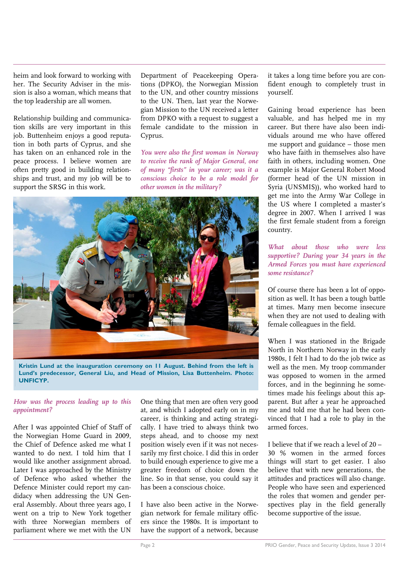heim and look forward to working with her. The Security Adviser in the mission is also a woman, which means that the top leadership are all women.

Relationship building and communication skills are very important in this job. Buttenheim enjoys a good reputation in both parts of Cyprus, and she has taken on an enhanced role in the peace process. I believe women are often pretty good in building relationships and trust, and my job will be to support the SRSG in this work.

Department of Peacekeeping Operations (DPKO), the Norwegian Mission to the UN, and other country missions to the UN. Then, last year the Norwegian Mission to the UN received a letter from DPKO with a request to suggest a female candidate to the mission in Cyprus.

*You were also the first woman in Norway to receive the rank of Major General, one of many "firsts" in your career; was it a conscious choice to be a role model for other women in the military?*



**Kristin Lund at the inauguration ceremony on 11 August. Behind from the left is Lund's predecessor, General Liu, and Head of Mission, Lisa Buttenheim. Photo: UNFICYP.**

#### *How was the process leading up to this appointment?*

After I was appointed Chief of Staff of the Norwegian Home Guard in 2009, the Chief of Defence asked me what I wanted to do next. I told him that I would like another assignment abroad. Later I was approached by the Ministry of Defence who asked whether the Defence Minister could report my candidacy when addressing the UN General Assembly. About three years ago, I went on a trip to New York together with three Norwegian members of parliament where we met with the UN

One thing that men are often very good at, and which I adopted early on in my career, is thinking and acting strategically. I have tried to always think two steps ahead, and to choose my next position wisely even if it was not necessarily my first choice. I did this in order to build enough experience to give me a greater freedom of choice down the line. So in that sense, you could say it has been a conscious choice.

I have also been active in the Norwegian network for female military officers since the 1980s. It is important to have the support of a network, because it takes a long time before you are confident enough to completely trust in yourself.

Gaining broad experience has been valuable, and has helped me in my career. But there have also been individuals around me who have offered me support and guidance – those men who have faith in themselves also have faith in others, including women. One example is Major General Robert Mood (former head of the UN mission in Syria (UNSMIS)), who worked hard to get me into the Army War College in the US where I completed a master's degree in 2007. When I arrived I was the first female student from a foreign country.

*What about those who were less supportive? During your 34 years in the Armed Forces you must have experienced some resistance?*

Of course there has been a lot of opposition as well. It has been a tough battle at times. Many men become insecure when they are not used to dealing with female colleagues in the field.

When I was stationed in the Brigade North in Northern Norway in the early 1980s, I felt I had to do the job twice as well as the men. My troop commander was opposed to women in the armed forces, and in the beginning he sometimes made his feelings about this apparent. But after a year he approached me and told me that he had been convinced that I had a role to play in the armed forces.

I believe that if we reach a level of 20 – 30 % women in the armed forces things will start to get easier. I also believe that with new generations, the attitudes and practices will also change. People who have seen and experienced the roles that women and gender perspectives play in the field generally become supportive of the issue.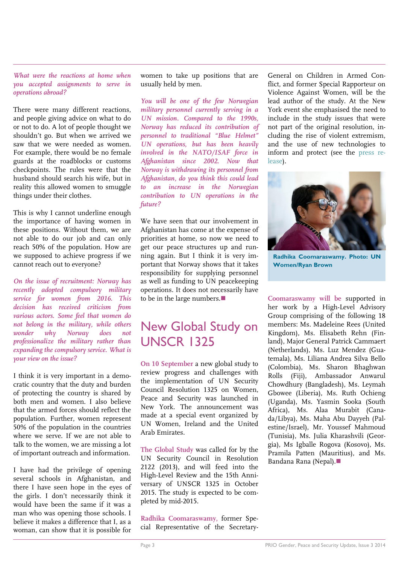#### *What were the reactions at home when you accepted assignments to serve in operations abroad?*

There were many different reactions, and people giving advice on what to do or not to do. A lot of people thought we shouldn't go. But when we arrived we saw that we were needed as women. For example, there would be no female guards at the roadblocks or customs checkpoints. The rules were that the husband should search his wife, but in reality this allowed women to smuggle things under their clothes.

This is why I cannot underline enough the importance of having women in these positions. Without them, we are not able to do our job and can only reach 50% of the population. How are we supposed to achieve progress if we cannot reach out to everyone?

*On the issue of recruitment: Norway has recently adopted compulsory military service for women from 2016. This decision has received criticism from various actors. Some feel that women do not belong in the military, while others wonder why Norway does not professionalize the military rather than expanding the compulsory service. What is your view on the issue?*

I think it is very important in a democratic country that the duty and burden of protecting the country is shared by both men and women. I also believe that the armed forces should reflect the population. Further, women represent 50% of the population in the countries where we serve. If we are not able to talk to the women, we are missing a lot of important outreach and information.

I have had the privilege of opening several schools in Afghanistan, and there I have seen hope in the eyes of the girls. I don't necessarily think it would have been the same if it was a man who was opening those schools. I believe it makes a difference that I, as a woman, can show that it is possible for

women to take up positions that are usually held by men.

*You will be one of the few Norwegian military personnel currently serving in a UN mission. Compared to the 1990s, Norway has reduced its contribution of personnel to traditional "Blue Helmet" UN operations, but has been heavily involved in the NATO/ISAF force in Afghanistan since 2002. Now that Norway is withdrawing its personnel from Afghanistan, do you think this could lead to an increase in the Norwegian contribution to UN operations in the future?*

We have seen that our involvement in Afghanistan has come at the expense of priorities at home, so now we need to et our peace structures up and running again. But I think it is very important that Norway shows that it takes responsibility for supplying personnel as well as funding to UN peacekeeping operations. It does not necessarily have to be in the large numbers.

### New Global Study on UNSCR 1325

**On 10 September** a new global study to review progress and challenges with the implementation of UN Security Council Resolution 1325 on Women, Peace and Security was launched in New York. The announcement was made at a special event organized by UN Women, Ireland and the United Arab Emirates.

**The Global Study** was called for by the UN Security Council in Resolution 2122 (2013), and will feed into the High-Level Review and the 15th Anniversary of UNSCR 1325 in October 2015. The study is expected to be completed by mid-2015.

**Radhika Coomaraswamy,** former Special Representative of the SecretaryGeneral on Children in Armed Conflict, and former Special Rapporteur on Violence Against Women, will be the lead author of the study. At the New York event she emphasised the need to include in the study issues that were not part of the original resolution, including the rise of violent extremism, and the use of new technologies to inform and protect (see the [press re](http://www.unwomen.org/en/news/stories/2014/9/launch-of-global-study-on-resolution-1325)[lease\)](http://www.unwomen.org/en/news/stories/2014/9/launch-of-global-study-on-resolution-1325).



**Radhika Coomaraswamy. Photo: UN Women/Ryan Brown**

**Coomaraswamy will be** supported in her work by a High-Level Advisory Group comprising of the following 18 members: Ms. Madeleine Rees (United Kingdom), Ms. Elisabeth Rehn (Finland), Major General Patrick Cammaert (Netherlands), Ms. Luz Mendez (Guatemala), Ms. Liliana Andrea Silva Bello (Colombia), Ms. Sharon Bhaghwan Rolls (Fiji), Ambassador Anwarul Chowdhury (Bangladesh), Ms. Leymah Gbowee (Liberia), Ms. Ruth Ochieng (Uganda), Ms. Yasmin Sooka (South Africa), Ms. Alaa Murabit (Canada/Libya), Ms. Maha Abu Dayyeh (Palestine/Israel), Mr. Youssef Mahmoud (Tunisia), Ms. Julia Kharashvili (Georgia), Ms Igballe Rogova (Kosovo), Ms. Pramila Patten (Mauritius), and Ms. Bandana Rana (Nepal).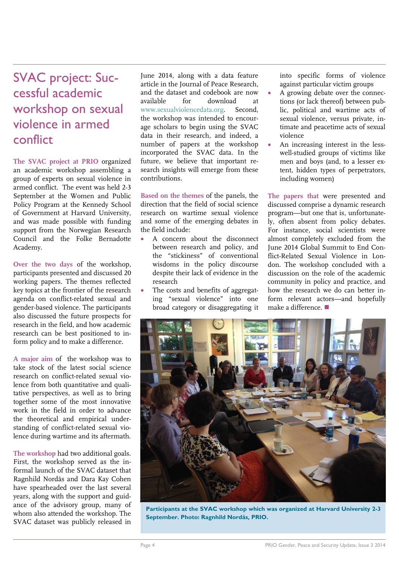### SVAC project: Successful academic workshop on sexual violence in armed conflict

**The [SVAC project](http://www.prio.org/Projects/Project/?x=932) at PRIO** organized an academic workshop assembling a group of experts on sexual violence in armed conflict. The event was held 2-3 September at the Women and Public Policy Program at the Kennedy School of Government at Harvard University, and was made possible with funding support from the Norwegian Research Council and the Folke Bernadotte Academy.

**Over the two days** of the workshop, participants presented and discussed 20 working papers. The themes reflected key topics at the frontier of the research agenda on conflict-related sexual and gender-based violence. The participants also discussed the future prospects for research in the field, and how academic research can be best positioned to inform policy and to make a difference.

**A major aim** of the workshop was to take stock of the latest social science research on conflict-related sexual violence from both quantitative and qualitative perspectives, as well as to bring together some of the most innovative work in the field in order to advance the theoretical and empirical understanding of conflict-related sexual violence during wartime and its aftermath.

**The workshop** had two additional goals. First, the workshop served as the informal launch of the SVAC dataset that Ragnhild Nordås and Dara Kay Cohen have spearheaded over the last several years, along with the support and guidance of the advisory group, many of whom also attended the workshop. The SVAC dataset was publicly released in

June 2014, along with a data feature article in the Journal of Peace Research, and the dataset and codebook are now available for download at [www.sexualviolencedata.org.](http://www.sexualviolencedata.org/) Second, the workshop was intended to encourage scholars to begin using the SVAC data in their research, and indeed, a number of papers at the workshop incorporated the SVAC data. In the future, we believe that important research insights will emerge from these contributions.

**Based on the themes** of the panels, the direction that the field of social science research on wartime sexual violence and some of the emerging debates in the field include:

- A concern about the disconnect between research and policy, and the "stickiness" of conventional wisdoms in the policy discourse despite their lack of evidence in the research
- The costs and benefits of aggregating "sexual violence" into one broad category or disaggregating it

into specific forms of violence against particular victim groups

- A growing debate over the connections (or lack thereof) between public, political and wartime acts of sexual violence, versus private, intimate and peacetime acts of sexual violence
- An increasing interest in the lesswell-studied groups of victims like men and boys (and, to a lesser extent, hidden types of perpetrators, including women)

**The papers that** were presented and discussed comprise a dynamic research program—but one that is, unfortunately, often absent from policy debates. For instance, social scientists were almost completely excluded from the June 2014 Global Summit to End Conflict-Related Sexual Violence in London. The workshop concluded with a discussion on the role of the academic community in policy and practice, and how the research we do can better inform relevant actors—and hopefully make a difference.



**Participants at the SVAC workshop which was organized at Harvard University 2-3 September. Photo: Ragnhild Nordås, PRIO.**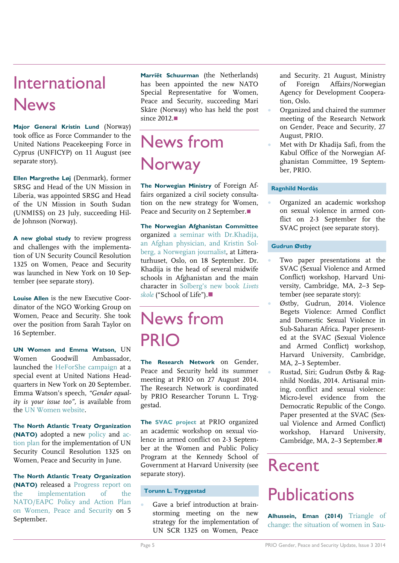### International News

**Major General Kristin Lund** (Norway) took office as Force Commander to the United Nations Peacekeeping Force in Cyprus (UNFICYP) on 11 August (see separate story).

**Ellen Margrethe Løj** (Denmark), former SRSG and Head of the UN Mission in Liberia, was appointed SRSG and Head of the UN Mission in South Sudan (UNMISS) on 23 July, succeeding Hilde Johnson (Norway).

**A new global study** to review progress and challenges with the implementation of UN Security Council Resolution 1325 on Women, Peace and Security was launched in New York on 10 September (see separate story).

**Louise Allen** is the new Executive Coordinator of the NGO Working Group on Women, Peace and Security. She took over the position from Sarah Taylor on 16 September.

**UN Women and Emma Watson,** UN Women Goodwill Ambassador, launched the [HeForShe campaign](UN%20Women%20and%20Emma%20Watson,%20UN%20Women%20Goodwill%20Ambassador,%20launched%20the%20HeForShe%20campaign%20at%20a%20special%20event%20at%20United%20Nations%20Headquarters,%20New%20York,%20on%2020%20September.%20Emma%20Watson’s%20speech%20on%20feminism%20is%20available%20from%20the%20UN%20Women%20website.) at a special event at United Nations Headquarters in New York on 20 September. Emma Watson's speech, *"Gender equality is your issue too",* is available from the [UN Women website.](http://www.unwomen.org/en/news/stories/2014/9/emma-watson-gender-equality-is-your-issue-too)

**The North Atlantic Treaty Organization (NATO)** adopted a new [policy](http://www.nato.int/cps/en/natohq/official_texts_109830.htm?selectedLocale=en) and [ac](http://www.nato.int/nato_static_fl2014/assets/pdf/pdf_2014_06/20140626_140626-wps-action-plan.pdf)[tion plan](http://www.nato.int/nato_static_fl2014/assets/pdf/pdf_2014_06/20140626_140626-wps-action-plan.pdf) for the implementation of UN Security Council Resolution 1325 on Women, Peace and Security in June.

**The North Atlantic Treaty Organization (NATO)** released a [Progress report on](http://www.nato.int/cps/en/natohq/official_texts_112846.htm?selectedLocale=en)  [the implementation of the](http://www.nato.int/cps/en/natohq/official_texts_112846.htm?selectedLocale=en)  [NATO/EAPC Policy and Action Plan](http://www.nato.int/cps/en/natohq/official_texts_112846.htm?selectedLocale=en)  [on Women, Peace and Security](http://www.nato.int/cps/en/natohq/official_texts_112846.htm?selectedLocale=en) on 5 September.

**Marriët Schuurman** (the Netherlands) has been appointed the new NATO Special Representative for Women, Peace and Security, succeeding Mari Skåre (Norway) who has held the post since 2012.

## News from Norway

**The Norwegian Ministry** of Foreign Affairs organized a civil society consultation on the new strategy for Women, Peace and Security on 2 September.

**The Norwegian Afghanistan Committee** organized [a seminar with Dr.Khadija,](http://www.afghanistan.no/Artikler/2546.html)  [an Afghan physician, and Kristin Sol](http://www.afghanistan.no/Artikler/2546.html)[berg, a Norwegian journalist,](http://www.afghanistan.no/Artikler/2546.html) at Litteraturhuset, Oslo, on 18 September. Dr. Khadija is the head of several midwife schools in Afghanistan and the main character in [Solberg's new book](http://www.aschehoug.no/nettbutikk/livets-skole.html) *Livets [skole](http://www.aschehoug.no/nettbutikk/livets-skole.html)* ("School of Life").

## News from PRIO

**The Research Network** on Gender, Peace and Security held its summer meeting at PRIO on 27 August 2014. The Research Network is coordinated by PRIO Researcher Torunn L. Tryggestad.

**The [SVAC project](http://www.prio.org/Projects/Project/?x=932)** at PRIO organized an academic workshop on sexual violence in armed conflict on 2-3 September at the Women and Public Policy Program at the Kennedy School of Government at Harvard University (see separate story).

#### **Torunn L. Tryggestad**

 Gave a brief introduction at brainstorming meeting on the new strategy for the implementation of UN SCR 1325 on Women, Peace

and Security. 21 August, Ministry of Foreign Affairs/Norwegian Agency for Development Cooperation, Oslo.

- Organized and chaired the summer meeting of the Research Network on Gender, Peace and Security, 27 August, PRIO.
- Met with Dr Khadija Safi, from the Kabul Office of the Norwegian Afghanistan Committee, 19 September, PRIO.

#### **Ragnhild Nordås**

 Organized an academic workshop on sexual violence in armed conflict on 2-3 September for the SVAC project (see separate story).

#### **Gudrun Østby**

- Two paper presentations at the SVAC (Sexual Violence and Armed Conflict) workshop, Harvard University, Cambridge, MA, 2–3 September (see separate story):
- Østby, Gudrun, 2014. Violence Begets Violence: Armed Conflict and Domestic Sexual Violence in Sub-Saharan Africa. Paper presented at the SVAC (Sexual Violence and Armed Conflict) workshop, Harvard University, Cambridge, MA, 2–3 September.
- Rustad, Siri; Gudrun Østby & Ragnhild Nordås, 2014. Artisanal mining, conflict and sexual violence: Micro-level evidence from the Democratic Republic of the Congo. Paper presented at the SVAC (Sexual Violence and Armed Conflict) workshop, Harvard University, Cambridge, MA, 2-3 September.■

## Recent

### **Publications**

**Alhussein, Eman (2014)** [Triangle of](http://peacebuilding.no/var/ezflow_site/storage/original/application/ef4fe5e44ede4d362d60a6804ed40437.pdf)  [change: the situation of women in Sau-](http://peacebuilding.no/var/ezflow_site/storage/original/application/ef4fe5e44ede4d362d60a6804ed40437.pdf)